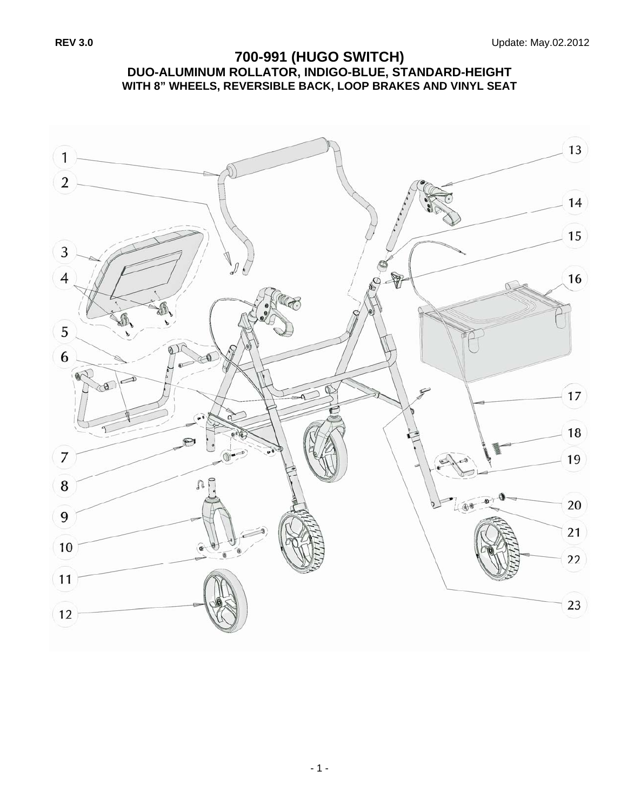## **700-991 (HUGO SWITCH) DUO-ALUMINUM ROLLATOR, INDIGO-BLUE, STANDARD-HEIGHT WITH 8" WHEELS, REVERSIBLE BACK, LOOP BRAKES AND VINYL SEAT**